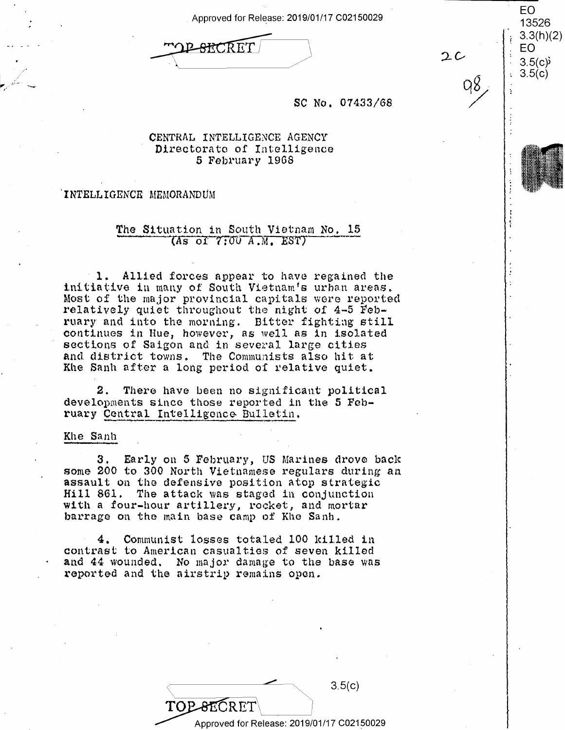Approved for Release: 2019/01/17 C02150029

<del>ARC</del>RET

|  | CV.                  |
|--|----------------------|
|  | 13526                |
|  | 3.3(h)(2)            |
|  | EΟ                   |
|  |                      |
|  | $3.5(c)$<br>$3.5(c)$ |
|  |                      |

 $2c$ 

## SC No. 07433/68

## CENTRAL INTELLIGENCE AGENCY Directorate of Intelligence 5 February 1968

### INTELLIGENCE MEMORANDUM

## The Situation in South Vietnam No. 15  $(As of 7:00 A.M. EST)$

1. Allied forces appear to have regained the initiative in many of South Vietnam's urban areas. Most of the major provincial capitals were reported relatively quiet throughout the night of 4-5 February and into the morning. Bitter fighting still continues in Hue, however, as well as in isolated sections of Saigon and in several large cities and district towns. The Communists also hit at Khe Sanh after a long period of relative quiet.

2. There have been no significant political developments since those reported in the 5 February Central Intelligence Bulletin.

### Khe Sanh

3. Early on 5 February, US Marines drove back some 200 to 300 North Vietnamese regulars during an assault on the defensive position atop strategic Hill 861. The attack was staged in conjunction with a four-hour artillery, rocket, and mortar barrage on the main base camp of Khe Sanh.

4. Communist losses totaled 100 killed in contrast to American casualties of seven killed and 44 wounded. No major damage to the base was reported and the airstrip remains open.

 $3.5(c)$ TOPSEC

Approved for Release: 2019/01/17 C02150029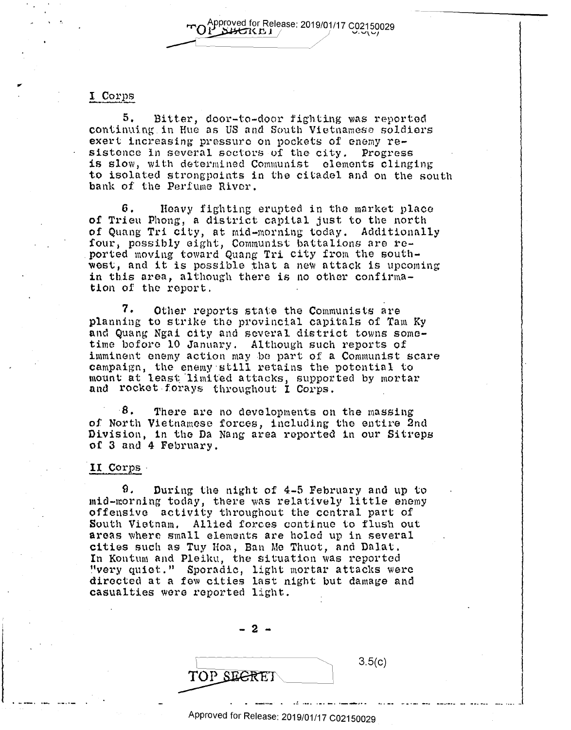$T$ O $p$ Pproved for Release: 2019/01/17 C02150029 Approved for Release: 2019/01/17 C02150<br>LABEREI ---1~~~~~~~/  $T$ O $I$ <sup>Dproved for Release: 2019/01/17 C02150029 U.U.U</sup>

## I Corps

.,

5. Bitter, door-to-door fighting was reported continuing in Hue as US and South Vietnamese soldiers continuing.in Hue as US and South Vietnamese soldiers exert increasing pressure on pockets of enemy re-exert increasing pressure on pockets of enemy re sistence in several sectors of the city. Progress is slow, with determined Communist elements clinging to isolated strongpoints in the citadel and on the south bank of the Perfume River. bank of the Perfume River.

6. Heavy fighting erupted in the market place **of** Trieu Phong, a district capital just to the north of Trieu Phong, <sup>a</sup> district capital just to the north of Quang Tri city, at mid-morning today. Additionally four, possibly eight, Communist battalions are reported moving toward Quang Tri city from the southwest, and it is possible that a new nttack is upcoming west, and it is possible that <sup>a</sup> new attack is upcoming in this area, although there is no other confirmation of the report.  $\blacksquare$ 

7. Other reports state the Communists are planning to strike the provincial capitals of Tam Ky and Quang Ngni city and several district towns some-and Quang Ngai city and several district towns sometime before 10 January. Although such reports of time hoforo 10 January. Although such reports of imminent enemy action may be part of a Communist scare campaign, the enemy·still retains the potontinl to campaign, the enemy still retains the potential to mount at least. "limited attacks, supported by mortar mount at least limited attacks, supported by mortar and rocket forays throughout I Corps.

8. There are no developments on the massing of North Vietnamese forces, including tho entire 2nd of North Vietnamese forces, including the entire 2nd Division, in the Da Nang area reported in our Sitreps or 3 and 4 February. of 3 and <sup>4</sup> February.

## II Corps

9. During the night of 4-5 February and up to. mid-morning today, there was relatively little enemy offensive activity throughout the central part of offensive actiVity throughout the central part of South Vietnam, Allied forces continue to flush out South Vietnam. Allied forces continue to flush out areas where small elements are holed up in several cities such as Tuy Hoa, Ban Me Thuot, and Dnlat. cities such as Tuy Hoa, Ban Me Thuot, and Dalat. In Kontum and Pleiku, the situation was reported In hollom with a bank, the Sachbach has represent directed at a few cities last night but damage and casualties ware reported light. casualties were reported light. '

- 2 -

 $3.5(c)$ . \_\_\_ .. ,\_ .. ..~ ..... ·-· -· ·--.-... TOP SEGRET

 $-2$   $-$ 

Approved for Release: 2019/01/17 C02150029 Approved for Release: 2019/01/17 C02150029

I-o —. lc—ufiao- It . -- u.o-I-- o-I-uu cup—.sooc-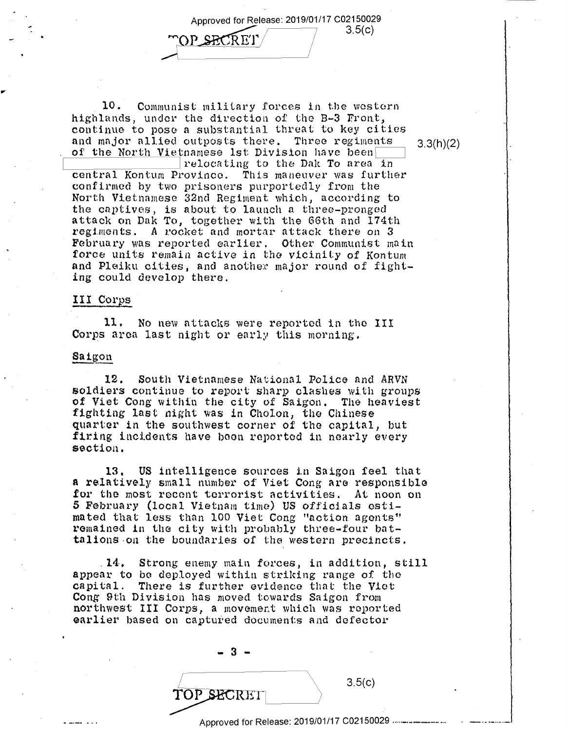Approved for Release: 2019/01/17 C02150029 Approved for Release: 2019/01/17 <sup>002150029</sup> 3.5(0) "'

TOP\_SECRET 3.5(c)

10. Communist military forces in the western highlands, under the direction of the B-3 Front, highlands, under the direction of the B~3 Front, continue to poso a substantial threat to key cities continue to pose <sup>a</sup> substantial threat to key cities and major allied outposts there. Three regiments  $3.3(h)(2)$ of the North Vietnamese 1st Division have been we will be a set of the North Vietnamese 1st Division have been

Of the NOTTH VIETNAMESS IST DIVISION Have been central Kontum Province. This maneuver was further confirmed by two prisoners purportedly from the North Vietnamese 32nd Regiment which, according to the captives, is about to launch a three-pronged the captives, is about to launch <sup>a</sup> three-pronged attack on Dok To, together with the 66th nnd 174th attack on Dak To, together with the 66th and 174th regiments. A rocket and mortar attack there on 3 February was reported earlier. Other Communist main February was reported earlier. Other Communist main force units remain active in the vicinity of Kontum and Plaiku cities, and another major round of fight-and Pleiku cities, and another major round of fight ing could develop there. ing could develop there.

## III Corps

**11.** No new attacks were reported in the III 11. No new attacks were reported in the III Corps area last night or early this morning.

# Corps a<br><u>Saigon</u> Saigon

12. South Vietnamese National Police nnd ARVN 12. South Vietnamese National Police and ARVN soldiers continue to report sharp clashes with groups of Viet Cong within the city of Saigon. The heaviest of Viet Cong within the city of Saigon. The heaviest fighting last night was in Cholon, tho Chinese fighting last night was in Cholon, the Chinese quarter in the southwest corner of tho capital, but quarter in the southwest corner of the capital, but firing incidents have boon reported in nearly every firing incidents have boon reported in nearly every section. section.

13. US intelligence sources in Saigon feel that **a** relatively small number of Viet Cong are responsible <sup>a</sup> relatively small number of Viet Cong are responsible for the most recent terrorist Activities. At noon on for the most recent terrorist activities. At noon on **5 February (local Vietnam time) US officials esti**mated that less than 100 Viet Cong "action agents" mated that less than 100 Viet Cong "notion agents" mated that ress than 100 viet Cong action agents<br>remained in the city with probably three-four battalions -on the boundaries of the western precincts . talions on the boundaries of the western precincts.

. **14.** Strong enemy main forces, in addition, still .14. Strong enemy main forces, in addition, still appear to be deployed within striking range of the capital. There is further evidence that the Viet capital. There is further evidence that the Viet Cong 9th Division has moved towards Saigon from ong can brith has moved teaming bargen from earlier based on captured documents and defector

> - **3** - -3—

TOP SECRETI

Approved for Release: 2019/01/17 C02150029 •····-·-----... ~--- - - - Approved for Release: 2019/01/17 <sup>002150029</sup> .....\_.\_..\_....\_\_.\_..-..

 $11.1\%$ 

 $3.5(c)$ 

**?P\$ECRET** 3.5(c)